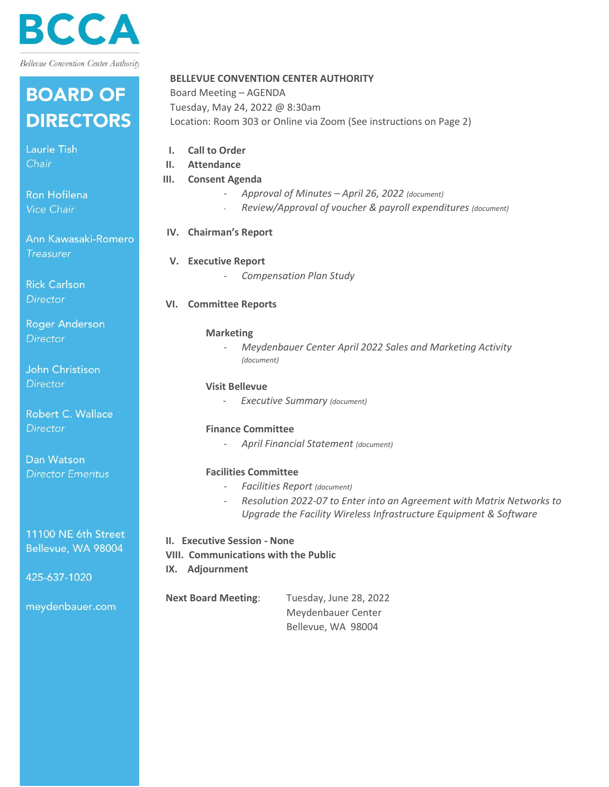

## **BOARD OF DIRECTORS**

Laurie Tish Chair

Ron Hofilena Vice Chair

Ann Kawasaki-Romero **Treasurer** 

**Rick Carlson Director** 

**Roger Anderson Director** 

John Christison **Director** 

Robert C. Wallace Director

Dan Watson **Director Emeritus**  **BELLEVUE CONVENTION CENTER AUTHORITY**

Board Meeting – AGENDA Tuesday, May 24, 2022 @ 8:30am Location: Room 303 or Online via Zoom (See instructions on Page 2)

| I.<br>II. | <b>Call to Order</b><br>Attendance                                                                                                                                     |
|-----------|------------------------------------------------------------------------------------------------------------------------------------------------------------------------|
| Ш.        | <b>Consent Agenda</b>                                                                                                                                                  |
|           | Approval of Minutes - April 26, 2022 (document)<br>$\overline{\phantom{a}}$                                                                                            |
|           | Review/Approval of voucher & payroll expenditures (document)                                                                                                           |
|           |                                                                                                                                                                        |
|           | IV. Chairman's Report                                                                                                                                                  |
|           | V. Executive Report                                                                                                                                                    |
|           | <b>Compensation Plan Study</b>                                                                                                                                         |
| VI.       | <b>Committee Reports</b>                                                                                                                                               |
|           | <b>Marketing</b>                                                                                                                                                       |
|           | Meydenbauer Center April 2022 Sales and Marketing Activity<br>(document)                                                                                               |
|           | <b>Visit Bellevue</b>                                                                                                                                                  |
|           | <b>Executive Summary (document)</b><br>$\qquad \qquad -$                                                                                                               |
|           | <b>Finance Committee</b>                                                                                                                                               |
|           | April Financial Statement (document)                                                                                                                                   |
|           | <b>Facilities Committee</b>                                                                                                                                            |
|           | <b>Facilities Report (document)</b><br>$\overline{\phantom{a}}$                                                                                                        |
|           | Resolution 2022-07 to Enter into an Agreement with Matrix Networks to<br>$\overline{\phantom{a}}$<br>Upgrade the Facility Wireless Infrastructure Equipment & Software |
|           |                                                                                                                                                                        |

11100 NE 6th Street Bellevue, WA 98004

425-637-1020

meydenbauer.com

**VIII. Communications with the Public**

**II. Executive Session - None**

**IX. Adjournment**

**Next Board Meeting**: Tuesday, June 28, 2022 Meydenbauer Center Bellevue, WA 98004